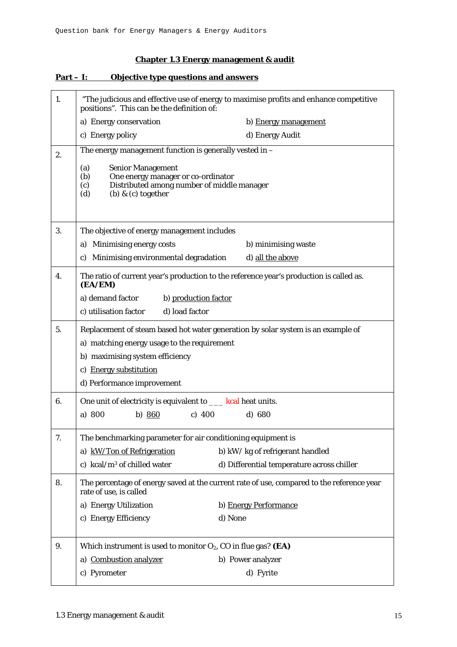#### **Chapter 1.3 Energy management & audit**

# 1. "The judicious and effective use of energy to maximise profits and enhance competitive positions". This can be the definition of: a) Energy conservation b) Energy management c) Energy policy d) Energy Audit  $\overline{2}$  The energy management function is generally vested in – (a) Senior Management (b) One energy manager or co-ordinator (c) Distributed among number of middle manager (d) (b)  $\&$  (c) together 3. The objective of energy management includes a) Minimising energy costs b) minimising waste c) Minimising environmental degradation d) all the above 4. The ratio of current year's production to the reference year's production is called as. **(EA/EM)**  a) demand factor b) production factor c) utilisation factor d) load factor 5. Replacement of steam based hot water generation by solar system is an example of a) matching energy usage to the requirement b) maximising system efficiency c) Energy substitution d) Performance improvement 6.  $\Box$  One unit of electricity is equivalent to  $\Box$  kcal heat units. a) 800 b) 860 c) 400 d) 680 7. The benchmarking parameter for air conditioning equipment is a) kW/Ton of Refrigeration b) kW/kg of refrigerant handled c) kcal/m3 of chilled water d) Differential temperature across chiller 8. The percentage of energy saved at the current rate of use, compared to the reference year rate of use, is called a) Energy Utilization b) Energy Performance c) Energy Efficiency d) None 9. Which instrument is used to monitor  $O_2$ , CO in flue gas? **(EA)** a) Combustion analyzer b) Power analyzer c) Pyrometer d) Fyrite

#### **Part – I: Objective type questions and answers**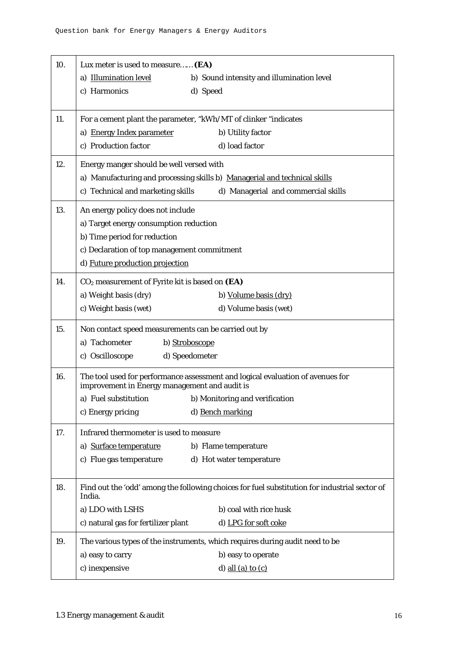| 10. | Lux meter is used to measure (EA)                                                             |
|-----|-----------------------------------------------------------------------------------------------|
|     | a) Illumination level<br>b) Sound intensity and illumination level                            |
|     | c) Harmonics<br>d) Speed                                                                      |
|     |                                                                                               |
| 11. | For a cement plant the parameter, "kWh/MT of clinker "indicates"                              |
|     | a) Energy Index parameter<br>b) Utility factor                                                |
|     | c) Production factor<br>d) load factor                                                        |
| 12. | Energy manger should be well versed with                                                      |
|     | a) Manufacturing and processing skills b) Managerial and technical skills                     |
|     | c) Technical and marketing skills<br>d) Managerial and commercial skills                      |
| 13. | An energy policy does not include                                                             |
|     | a) Target energy consumption reduction                                                        |
|     | b) Time period for reduction                                                                  |
|     | c) Declaration of top management commitment                                                   |
|     | d) Future production projection                                                               |
| 14. | $CO2$ measurement of Fyrite kit is based on $(EA)$                                            |
|     | a) Weight basis (dry)<br>b) Volume basis (dry)                                                |
|     | c) Weight basis (wet)<br>d) Volume basis (wet)                                                |
| 15. | Non contact speed measurements can be carried out by                                          |
|     | a) Tachometer<br>b) Stroboscope                                                               |
|     | c) Oscilloscope<br>d) Speedometer                                                             |
| 16. | The tool used for performance assessment and logical evaluation of avenues for                |
|     | improvement in Energy management and audit is                                                 |
|     | a) Fuel substitution b) Monitoring and verification                                           |
|     | c) Energy pricing<br>d) Bench marking                                                         |
| 17. | Infrared thermometer is used to measure                                                       |
|     | a) Surface temperature<br>b) Flame temperature                                                |
|     | c) Flue gas temperature<br>d) Hot water temperature                                           |
| 18. | Find out the 'odd' among the following choices for fuel substitution for industrial sector of |
|     | India.                                                                                        |
|     | a) LDO with LSHS<br>b) coal with rice husk                                                    |
|     | c) natural gas for fertilizer plant<br>d) LPG for soft coke                                   |
| 19. | The various types of the instruments, which requires during audit need to be                  |
|     | a) easy to carry<br>b) easy to operate                                                        |
|     | c) inexpensive<br>d) all (a) to $(c)$                                                         |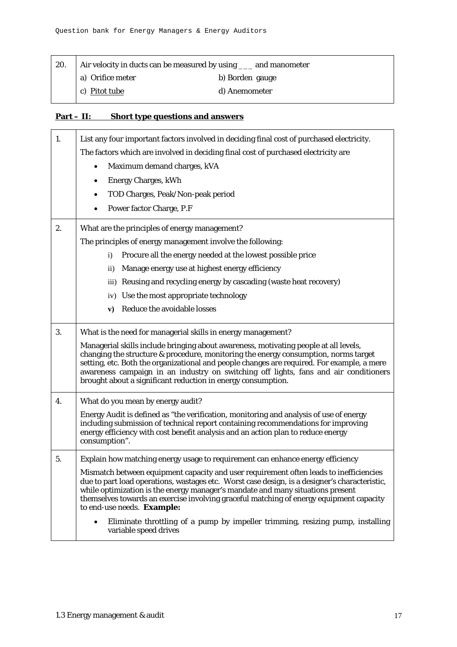| 20. | Air velocity in ducts can be measured by using ____ and manometer |                 |
|-----|-------------------------------------------------------------------|-----------------|
|     | a) Orifice meter                                                  | b) Borden gauge |
|     | c) Pitot tube                                                     | d) Anemometer   |

### **Part – II: Short type questions and answers**

| 1. | List any four important factors involved in deciding final cost of purchased electricity.                                                                                                                                                                                                                                                                                                                                         |
|----|-----------------------------------------------------------------------------------------------------------------------------------------------------------------------------------------------------------------------------------------------------------------------------------------------------------------------------------------------------------------------------------------------------------------------------------|
|    | The factors which are involved in deciding final cost of purchased electricity are                                                                                                                                                                                                                                                                                                                                                |
|    | Maximum demand charges, kVA                                                                                                                                                                                                                                                                                                                                                                                                       |
|    | <b>Energy Charges, kWh</b><br>$\bullet$                                                                                                                                                                                                                                                                                                                                                                                           |
|    | TOD Charges, Peak/Non-peak period                                                                                                                                                                                                                                                                                                                                                                                                 |
|    | Power factor Charge, P.F                                                                                                                                                                                                                                                                                                                                                                                                          |
| 2. | What are the principles of energy management?                                                                                                                                                                                                                                                                                                                                                                                     |
|    | The principles of energy management involve the following:                                                                                                                                                                                                                                                                                                                                                                        |
|    | Procure all the energy needed at the lowest possible price<br>$\mathbf{i}$                                                                                                                                                                                                                                                                                                                                                        |
|    | Manage energy use at highest energy efficiency<br>$\overline{11}$                                                                                                                                                                                                                                                                                                                                                                 |
|    | iii) Reusing and recycling energy by cascading (waste heat recovery)                                                                                                                                                                                                                                                                                                                                                              |
|    | iv) Use the most appropriate technology                                                                                                                                                                                                                                                                                                                                                                                           |
|    | Reduce the avoidable losses<br>${\bf v})$                                                                                                                                                                                                                                                                                                                                                                                         |
| 3. | What is the need for managerial skills in energy management?                                                                                                                                                                                                                                                                                                                                                                      |
|    | Managerial skills include bringing about awareness, motivating people at all levels,<br>changing the structure & procedure, monitoring the energy consumption, norms target<br>setting, etc. Both the organizational and people changes are required. For example, a mere<br>awareness campaign in an industry on switching off lights, fans and air conditioners<br>brought about a significant reduction in energy consumption. |
| 4. | What do you mean by energy audit?                                                                                                                                                                                                                                                                                                                                                                                                 |
|    | Energy Audit is defined as "the verification, monitoring and analysis of use of energy<br>including submission of technical report containing recommendations for improving<br>energy efficiency with cost benefit analysis and an action plan to reduce energy<br>consumption".                                                                                                                                                  |
| 5. | Explain how matching energy usage to requirement can enhance energy efficiency                                                                                                                                                                                                                                                                                                                                                    |
|    | Mismatch between equipment capacity and user requirement often leads to inefficiencies<br>due to part load operations, wastages etc. Worst case design, is a designer's characteristic,<br>while optimization is the energy manager's mandate and many situations present<br>themselves towards an exercise involving graceful matching of energy equipment capacity<br>to end-use needs. Example:                                |
|    | Eliminate throttling of a pump by impeller trimming, resizing pump, installing<br>variable speed drives                                                                                                                                                                                                                                                                                                                           |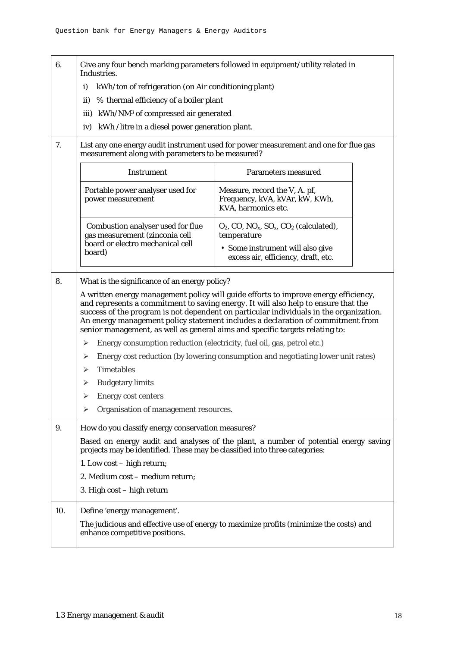| 6.  | Industries.                                                                                                                               | Give any four bench marking parameters followed in equipment/utility related in                                                                                                                                                                                                                                                                        |
|-----|-------------------------------------------------------------------------------------------------------------------------------------------|--------------------------------------------------------------------------------------------------------------------------------------------------------------------------------------------------------------------------------------------------------------------------------------------------------------------------------------------------------|
|     | kWh/ton of refrigeration (on Air conditioning plant)<br>i)                                                                                |                                                                                                                                                                                                                                                                                                                                                        |
|     | % thermal efficiency of a boiler plant<br>$\mathbf{ii}$                                                                                   |                                                                                                                                                                                                                                                                                                                                                        |
|     | iii) kWh/NM <sup>3</sup> of compressed air generated                                                                                      |                                                                                                                                                                                                                                                                                                                                                        |
|     | iv) kWh /litre in a diesel power generation plant.                                                                                        |                                                                                                                                                                                                                                                                                                                                                        |
| 7.  | List any one energy audit instrument used for power measurement and one for flue gas<br>measurement along with parameters to be measured? |                                                                                                                                                                                                                                                                                                                                                        |
|     | <b>Instrument</b>                                                                                                                         | Parameters measured                                                                                                                                                                                                                                                                                                                                    |
|     | Portable power analyser used for<br>power measurement                                                                                     | Measure, record the V, A. pf,<br>Frequency, kVA, kVAr, kW, KWh,<br>KVA, harmonics etc.                                                                                                                                                                                                                                                                 |
|     | <b>Combustion analyser used for flue</b><br>gas measurement (zinconia cell                                                                | $O_2$ , CO, NO <sub>x</sub> , SO <sub>x</sub> , CO <sub>2</sub> (calculated),<br>temperature                                                                                                                                                                                                                                                           |
|     | board or electro mechanical cell<br>board)                                                                                                | • Some instrument will also give<br>excess air, efficiency, draft, etc.                                                                                                                                                                                                                                                                                |
| 8.  | What is the significance of an energy policy?                                                                                             |                                                                                                                                                                                                                                                                                                                                                        |
|     | senior management, as well as general aims and specific targets relating to:                                                              | A written energy management policy will guide efforts to improve energy efficiency,<br>and represents a commitment to saving energy. It will also help to ensure that the<br>success of the program is not dependent on particular individuals in the organization.<br>An energy management policy statement includes a declaration of commitment from |
|     | Energy consumption reduction (electricity, fuel oil, gas, petrol etc.)<br>➤                                                               |                                                                                                                                                                                                                                                                                                                                                        |
|     | ➤                                                                                                                                         | Energy cost reduction (by lowering consumption and negotiating lower unit rates)                                                                                                                                                                                                                                                                       |
|     | <b>Timetables</b><br>⋗                                                                                                                    |                                                                                                                                                                                                                                                                                                                                                        |
|     | <b>Budgetary limits</b><br>➤                                                                                                              |                                                                                                                                                                                                                                                                                                                                                        |
|     | <b>Energy cost centers</b>                                                                                                                |                                                                                                                                                                                                                                                                                                                                                        |
|     | Organisation of management resources.<br>➤                                                                                                |                                                                                                                                                                                                                                                                                                                                                        |
| 9.  | How do you classify energy conservation measures?                                                                                         |                                                                                                                                                                                                                                                                                                                                                        |
|     | projects may be identified. These may be classified into three categories:                                                                | Based on energy audit and analyses of the plant, a number of potential energy saving                                                                                                                                                                                                                                                                   |
|     | 1. Low cost – high return;                                                                                                                |                                                                                                                                                                                                                                                                                                                                                        |
|     | 2. Medium cost - medium return;                                                                                                           |                                                                                                                                                                                                                                                                                                                                                        |
|     | 3. High cost – high return                                                                                                                |                                                                                                                                                                                                                                                                                                                                                        |
| 10. | Define 'energy management'.<br>enhance competitive positions.                                                                             | The judicious and effective use of energy to maximize profits (minimize the costs) and                                                                                                                                                                                                                                                                 |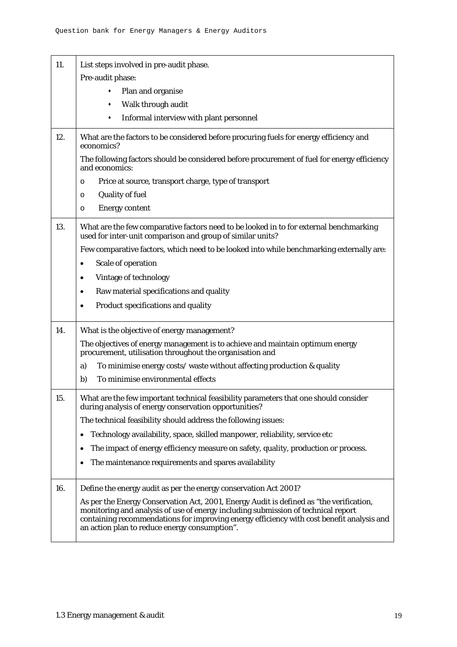| 11. | List steps involved in pre-audit phase.                                                                                                                                                                                                                                                                                    |
|-----|----------------------------------------------------------------------------------------------------------------------------------------------------------------------------------------------------------------------------------------------------------------------------------------------------------------------------|
|     | Pre-audit phase:                                                                                                                                                                                                                                                                                                           |
|     | Plan and organise                                                                                                                                                                                                                                                                                                          |
|     | Walk through audit<br>٠                                                                                                                                                                                                                                                                                                    |
|     | Informal interview with plant personnel<br>٠                                                                                                                                                                                                                                                                               |
| 12. | What are the factors to be considered before procuring fuels for energy efficiency and<br>economics?                                                                                                                                                                                                                       |
|     | The following factors should be considered before procurement of fuel for energy efficiency<br>and economics:                                                                                                                                                                                                              |
|     | Price at source, transport charge, type of transport<br>$\circ$                                                                                                                                                                                                                                                            |
|     | <b>Quality of fuel</b><br>$\circ$                                                                                                                                                                                                                                                                                          |
|     | <b>Energy content</b><br>$\circ$                                                                                                                                                                                                                                                                                           |
| 13. | What are the few comparative factors need to be looked in to for external benchmarking<br>used for inter-unit comparison and group of similar units?                                                                                                                                                                       |
|     | Few comparative factors, which need to be looked into while benchmarking externally are:                                                                                                                                                                                                                                   |
|     | Scale of operation                                                                                                                                                                                                                                                                                                         |
|     | Vintage of technology<br>٠                                                                                                                                                                                                                                                                                                 |
|     | Raw material specifications and quality                                                                                                                                                                                                                                                                                    |
|     | Product specifications and quality<br>$\bullet$                                                                                                                                                                                                                                                                            |
| 14. | What is the objective of energy management?                                                                                                                                                                                                                                                                                |
|     | The objectives of energy management is to achieve and maintain optimum energy<br>procurement, utilisation throughout the organisation and                                                                                                                                                                                  |
|     | To minimise energy costs/waste without affecting production & quality<br>a)                                                                                                                                                                                                                                                |
|     | b)<br>To minimise environmental effects                                                                                                                                                                                                                                                                                    |
| 15. | What are the few important technical feasibility parameters that one should consider<br>during analysis of energy conservation opportunities?                                                                                                                                                                              |
|     | The technical feasibility should address the following issues:                                                                                                                                                                                                                                                             |
|     | Technology availability, space, skilled manpower, reliability, service etc                                                                                                                                                                                                                                                 |
|     | The impact of energy efficiency measure on safety, quality, production or process.                                                                                                                                                                                                                                         |
|     | The maintenance requirements and spares availability                                                                                                                                                                                                                                                                       |
|     |                                                                                                                                                                                                                                                                                                                            |
| 16. | Define the energy audit as per the energy conservation Act 2001?                                                                                                                                                                                                                                                           |
|     | As per the Energy Conservation Act, 2001, Energy Audit is defined as "the verification,<br>monitoring and analysis of use of energy including submission of technical report<br>containing recommendations for improving energy efficiency with cost benefit analysis and<br>an action plan to reduce energy consumption". |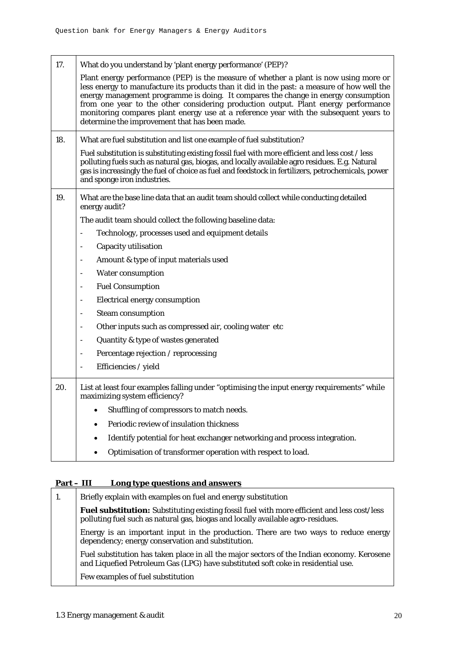| 17. | What do you understand by 'plant energy performance' (PEP)?                                                                                                                                                                                                                                                                                                                                                                                                                                               |
|-----|-----------------------------------------------------------------------------------------------------------------------------------------------------------------------------------------------------------------------------------------------------------------------------------------------------------------------------------------------------------------------------------------------------------------------------------------------------------------------------------------------------------|
|     | Plant energy performance (PEP) is the measure of whether a plant is now using more or<br>less energy to manufacture its products than it did in the past: a measure of how well the<br>energy management programme is doing. It compares the change in energy consumption<br>from one year to the other considering production output. Plant energy performance<br>monitoring compares plant energy use at a reference year with the subsequent years to<br>determine the improvement that has been made. |
| 18. | What are fuel substitution and list one example of fuel substitution?                                                                                                                                                                                                                                                                                                                                                                                                                                     |
|     | Fuel substitution is substituting existing fossil fuel with more efficient and less cost / less<br>polluting fuels such as natural gas, biogas, and locally available agro residues. E.g. Natural<br>gas is increasingly the fuel of choice as fuel and feedstock in fertilizers, petrochemicals, power<br>and sponge iron industries.                                                                                                                                                                    |
| 19. | What are the base line data that an audit team should collect while conducting detailed<br>energy audit?                                                                                                                                                                                                                                                                                                                                                                                                  |
|     | The audit team should collect the following baseline data:                                                                                                                                                                                                                                                                                                                                                                                                                                                |
|     | Technology, processes used and equipment details                                                                                                                                                                                                                                                                                                                                                                                                                                                          |
|     | Capacity utilisation                                                                                                                                                                                                                                                                                                                                                                                                                                                                                      |
|     | Amount & type of input materials used                                                                                                                                                                                                                                                                                                                                                                                                                                                                     |
|     | <b>Water consumption</b>                                                                                                                                                                                                                                                                                                                                                                                                                                                                                  |
|     | <b>Fuel Consumption</b>                                                                                                                                                                                                                                                                                                                                                                                                                                                                                   |
|     | <b>Electrical energy consumption</b>                                                                                                                                                                                                                                                                                                                                                                                                                                                                      |
|     | <b>Steam consumption</b>                                                                                                                                                                                                                                                                                                                                                                                                                                                                                  |
|     | Other inputs such as compressed air, cooling water etc                                                                                                                                                                                                                                                                                                                                                                                                                                                    |
|     | Quantity & type of wastes generated                                                                                                                                                                                                                                                                                                                                                                                                                                                                       |
|     | Percentage rejection / reprocessing                                                                                                                                                                                                                                                                                                                                                                                                                                                                       |
|     | Efficiencies / yield                                                                                                                                                                                                                                                                                                                                                                                                                                                                                      |
| 20. | List at least four examples falling under "optimising the input energy requirements" while<br>maximizing system efficiency?                                                                                                                                                                                                                                                                                                                                                                               |
|     | Shuffling of compressors to match needs.                                                                                                                                                                                                                                                                                                                                                                                                                                                                  |
|     | Periodic review of insulation thickness                                                                                                                                                                                                                                                                                                                                                                                                                                                                   |
|     | Identify potential for heat exchanger networking and process integration.                                                                                                                                                                                                                                                                                                                                                                                                                                 |
|     | Optimisation of transformer operation with respect to load.                                                                                                                                                                                                                                                                                                                                                                                                                                               |

## **Part – III Long type questions and answers**

| 1. | Briefly explain with examples on fuel and energy substitution                                                                                                                         |
|----|---------------------------------------------------------------------------------------------------------------------------------------------------------------------------------------|
|    | <b>Fuel substitution:</b> Substituting existing fossil fuel with more efficient and less cost/less<br>polluting fuel such as natural gas, biogas and locally available agro-residues. |
|    | Energy is an important input in the production. There are two ways to reduce energy<br>dependency; energy conservation and substitution.                                              |
|    | Fuel substitution has taken place in all the major sectors of the Indian economy. Kerosene<br>and Liquefied Petroleum Gas (LPG) have substituted soft coke in residential use.        |
|    | Few examples of fuel substitution                                                                                                                                                     |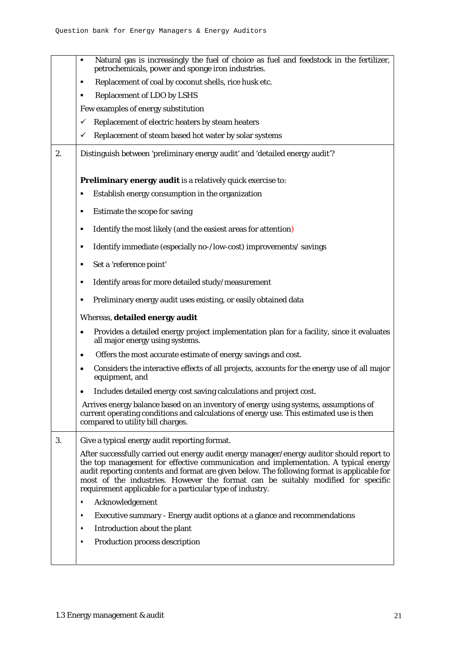|    | Natural gas is increasingly the fuel of choice as fuel and feedstock in the fertilizer,<br>petrochemicals, power and sponge iron industries.                                                                                                                                                                                                                                                                                      |
|----|-----------------------------------------------------------------------------------------------------------------------------------------------------------------------------------------------------------------------------------------------------------------------------------------------------------------------------------------------------------------------------------------------------------------------------------|
|    | Replacement of coal by coconut shells, rice husk etc.<br>п                                                                                                                                                                                                                                                                                                                                                                        |
|    | <b>Replacement of LDO by LSHS</b>                                                                                                                                                                                                                                                                                                                                                                                                 |
|    | Few examples of energy substitution                                                                                                                                                                                                                                                                                                                                                                                               |
|    | Replacement of electric heaters by steam heaters<br>✓                                                                                                                                                                                                                                                                                                                                                                             |
|    | Replacement of steam based hot water by solar systems<br>✓                                                                                                                                                                                                                                                                                                                                                                        |
| 2. | Distinguish between 'preliminary energy audit' and 'detailed energy audit'?                                                                                                                                                                                                                                                                                                                                                       |
|    | Preliminary energy audit is a relatively quick exercise to:                                                                                                                                                                                                                                                                                                                                                                       |
|    | Establish energy consumption in the organization                                                                                                                                                                                                                                                                                                                                                                                  |
|    | Estimate the scope for saving<br>п                                                                                                                                                                                                                                                                                                                                                                                                |
|    | Identify the most likely (and the easiest areas for attention)<br>٠                                                                                                                                                                                                                                                                                                                                                               |
|    | Identify immediate (especially no-/low-cost) improvements/ savings<br>п                                                                                                                                                                                                                                                                                                                                                           |
|    | Set a 'reference point'<br>п                                                                                                                                                                                                                                                                                                                                                                                                      |
|    | Identify areas for more detailed study/measurement                                                                                                                                                                                                                                                                                                                                                                                |
|    | Preliminary energy audit uses existing, or easily obtained data<br>٠                                                                                                                                                                                                                                                                                                                                                              |
|    | Whereas, detailed energy audit                                                                                                                                                                                                                                                                                                                                                                                                    |
|    | Provides a detailed energy project implementation plan for a facility, since it evaluates<br>$\bullet$<br>all major energy using systems.                                                                                                                                                                                                                                                                                         |
|    | Offers the most accurate estimate of energy savings and cost.<br>٠                                                                                                                                                                                                                                                                                                                                                                |
|    | Considers the interactive effects of all projects, accounts for the energy use of all major<br>$\bullet$<br>equipment, and                                                                                                                                                                                                                                                                                                        |
|    | Includes detailed energy cost saving calculations and project cost.                                                                                                                                                                                                                                                                                                                                                               |
|    | Arrives energy balance based on an inventory of energy using systems, assumptions of<br>current operating conditions and calculations of energy use. This estimated use is then<br>compared to utility bill charges.                                                                                                                                                                                                              |
| 3. | Give a typical energy audit reporting format.                                                                                                                                                                                                                                                                                                                                                                                     |
|    | After successfully carried out energy audit energy manager/energy auditor should report to<br>the top management for effective communication and implementation. A typical energy<br>audit reporting contents and format are given below. The following format is applicable for<br>most of the industries. However the format can be suitably modified for specific<br>requirement applicable for a particular type of industry. |
|    | Acknowledgement<br>٠                                                                                                                                                                                                                                                                                                                                                                                                              |
|    | Executive summary - Energy audit options at a glance and recommendations                                                                                                                                                                                                                                                                                                                                                          |
|    | Introduction about the plant                                                                                                                                                                                                                                                                                                                                                                                                      |
|    | Production process description<br>٠                                                                                                                                                                                                                                                                                                                                                                                               |
|    |                                                                                                                                                                                                                                                                                                                                                                                                                                   |